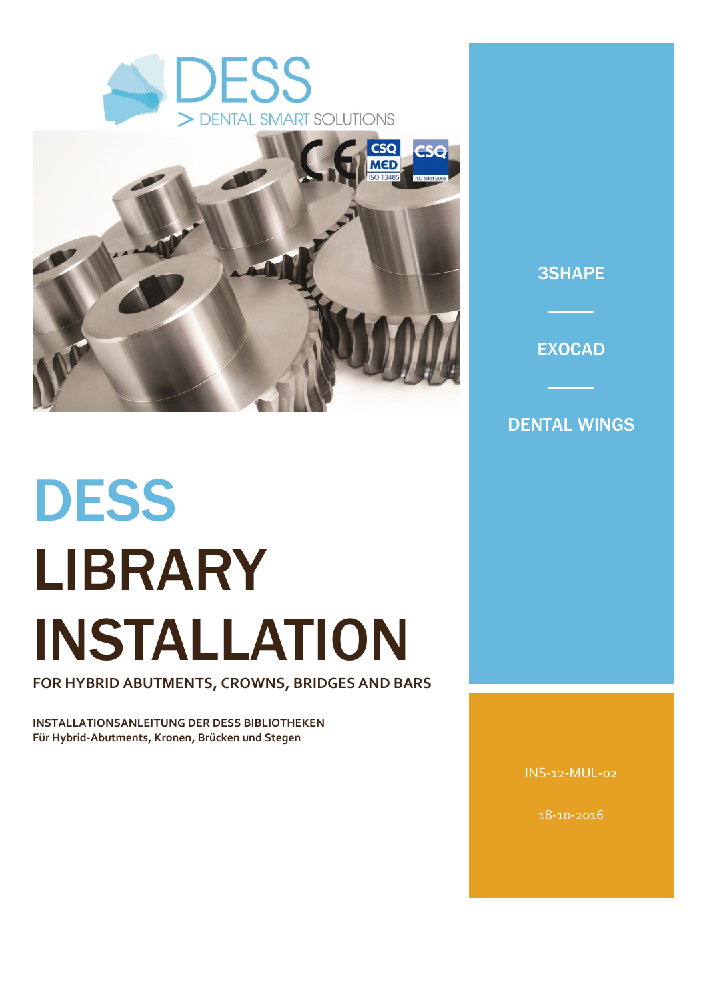



# **DESS** LIBRARY INSTALLATION

**FOR HYBRID ABUTMENTS, CROWNS, BRIDGES AND BARS** 

**INSTALLATIONSANLEITUNG DER DESS BIBLIOTHEKEN Für Hybrid-Abutments, Kronen, Brücken und Stegen** 

A DESS KÖNYVTÁR INSTALLÁLÁSÁNAK MENETE Hibrid fejrészek, koronák, hidak és stégek tervezéséhez

INS-12-MUL-02

18-10-2016

# 3SHAPE

**EXOCAD** 

# DENTAL WINGS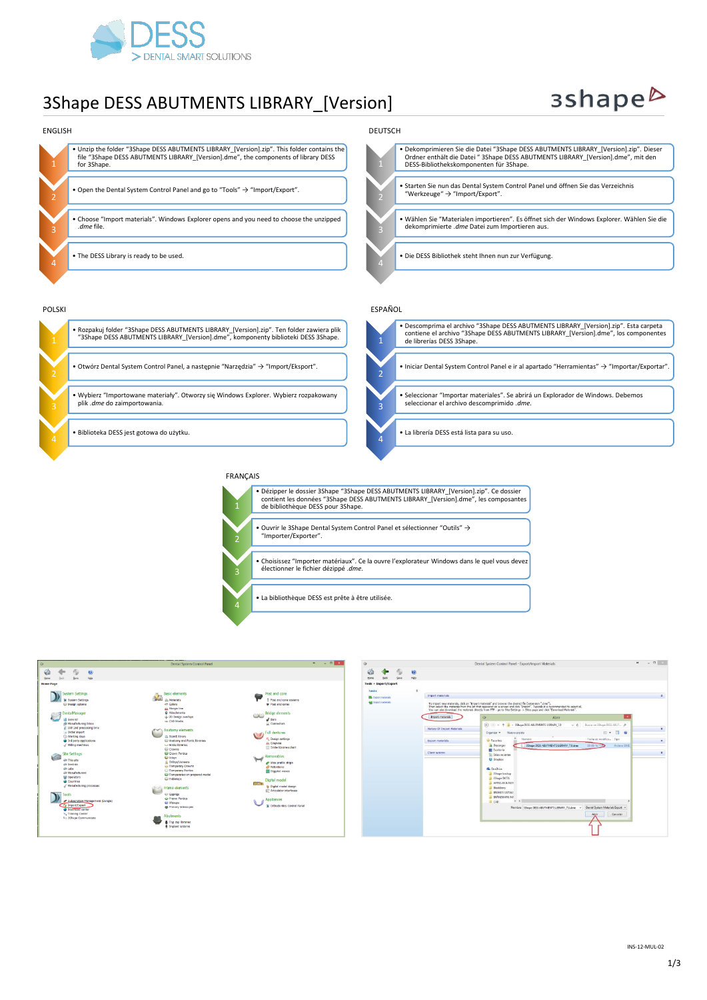

# 3Shape DESS ABUTMENTS LIBRARY\_[Version]

# 3shape<sup>b</sup>





électionner le fichier dézippé .*dme.*

• La bibliothèque DESS est prête à être utilisée.



4

| $\circ$ |                             |                   |                            | Dental System Control Panel - Export/Import Materials                                                                                                                                                                                                                                                                                                           | $ a$<br>u          |
|---------|-----------------------------|-------------------|----------------------------|-----------------------------------------------------------------------------------------------------------------------------------------------------------------------------------------------------------------------------------------------------------------------------------------------------------------------------------------------------------------|--------------------|
| man     |                             | $\omega$<br>rielo |                            |                                                                                                                                                                                                                                                                                                                                                                 |                    |
|         | Tools + Import/Export       |                   |                            |                                                                                                                                                                                                                                                                                                                                                                 |                    |
| Tasks   |                             | $\mathbf{r}$      |                            |                                                                                                                                                                                                                                                                                                                                                                 |                    |
|         | <b>EL</b> Piccott materials |                   | Import motorials           |                                                                                                                                                                                                                                                                                                                                                                 | $\hat{\mathbf{x}}$ |
|         | all Inport nationals        |                   |                            | To mport new materals, clok on "prepart materals" and browse the desired file (extension ".dme").<br>Then select the materials from the list that appeared on a screen and click "Import". Typically it is recommended to select all.<br>You can also download the materals drectly from FTP - go to Ste Settings -> Sites page and clos. "Download Materials". |                    |
|         |                             |                   | Import materials           | $\alpha$<br>Abrir                                                                                                                                                                                                                                                                                                                                               |                    |
|         |                             |                   |                            | $(4)$ (0) $-$<br>> 35hape DESS ABUTMENTS LIERARY_7.0<br>Buscar en 35hape DESS ABUT p<br>$v:$ G                                                                                                                                                                                                                                                                  |                    |
|         |                             |                   | Hetery Of Import Materials | Ⅲ ▼<br>$\overline{a}$<br>Organizar w<br>Nueva carpitta<br>m                                                                                                                                                                                                                                                                                                     | ×                  |
|         |                             |                   | <b>Export materials</b>    | Nombre<br>Fecha de modifica Tipo<br><b>Sir Favoriton</b>                                                                                                                                                                                                                                                                                                        | $\mathbf{x}$       |
|         |                             |                   |                            | 39 Mape DESS ABUTMENTS LIBRARY, 7.0. direct<br><b>A</b> Descargas<br>08-06-16 17:42<br><b>Britting DME</b>                                                                                                                                                                                                                                                      |                    |
|         |                             |                   | Clare system               | E Escritorio                                                                                                                                                                                                                                                                                                                                                    | $\mathfrak{a}$     |
|         |                             |                   |                            | Shies recientes<br><b>U</b> Drapbax                                                                                                                                                                                                                                                                                                                             |                    |
|         |                             |                   |                            |                                                                                                                                                                                                                                                                                                                                                                 |                    |
|         |                             |                   |                            | <b>G.</b> OneDrive                                                                                                                                                                                                                                                                                                                                              |                    |
|         |                             |                   |                            | <b>El Shape backup</b><br>35hape DATA                                                                                                                                                                                                                                                                                                                           |                    |
|         |                             |                   |                            | ARTICLES & NOT                                                                                                                                                                                                                                                                                                                                                  |                    |
|         |                             |                   |                            | <b>IllackSeny</b>                                                                                                                                                                                                                                                                                                                                               |                    |
|         |                             |                   |                            | BRANDS CATALO<br><b>ERANEMARK INT</b>                                                                                                                                                                                                                                                                                                                           |                    |
|         |                             |                   |                            | $v \in$<br>AL CAD                                                                                                                                                                                                                                                                                                                                               |                    |
|         |                             |                   |                            | Dental System Materials Export v<br>Nombre 39 ape DESS ABUTMENTS LIBRARY 7.0.dme<br>$\omega$                                                                                                                                                                                                                                                                    |                    |
|         |                             |                   |                            | Abrix<br>Cenceler                                                                                                                                                                                                                                                                                                                                               |                    |
|         |                             |                   |                            |                                                                                                                                                                                                                                                                                                                                                                 |                    |
|         |                             |                   |                            |                                                                                                                                                                                                                                                                                                                                                                 |                    |
|         |                             |                   |                            |                                                                                                                                                                                                                                                                                                                                                                 |                    |

INS-12-MUL-02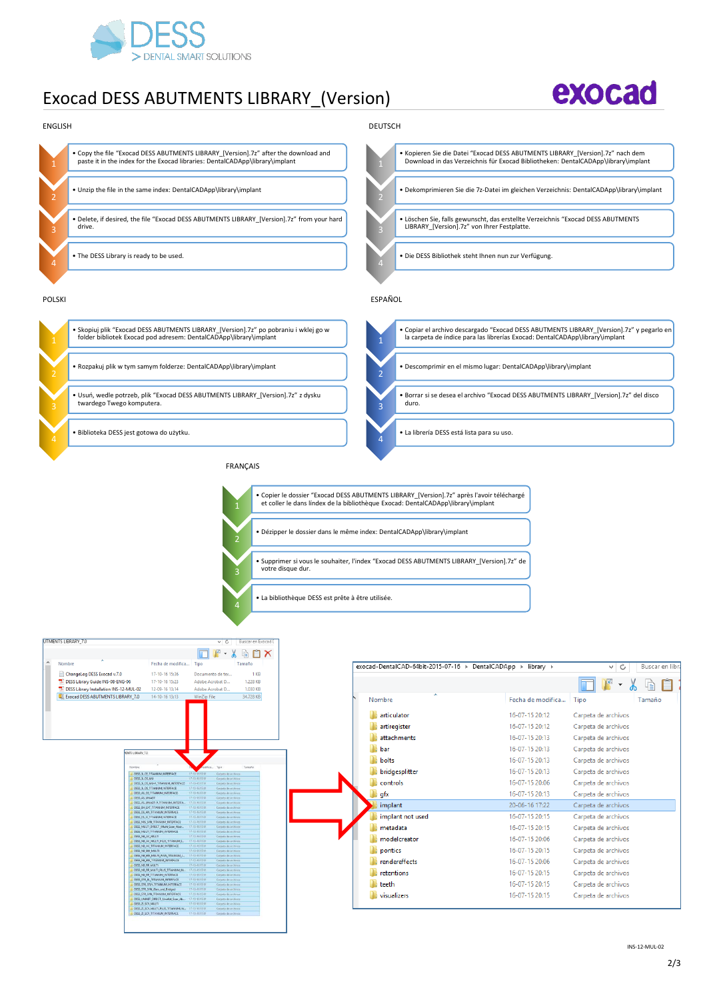

• Biblioteka DESS jest gotowa do użytku.

# Exocad DESS ABUTMENTS LIBRARY\_(Version)





FRANÇAIS

# • La librería DESS está lista para su uso.



4